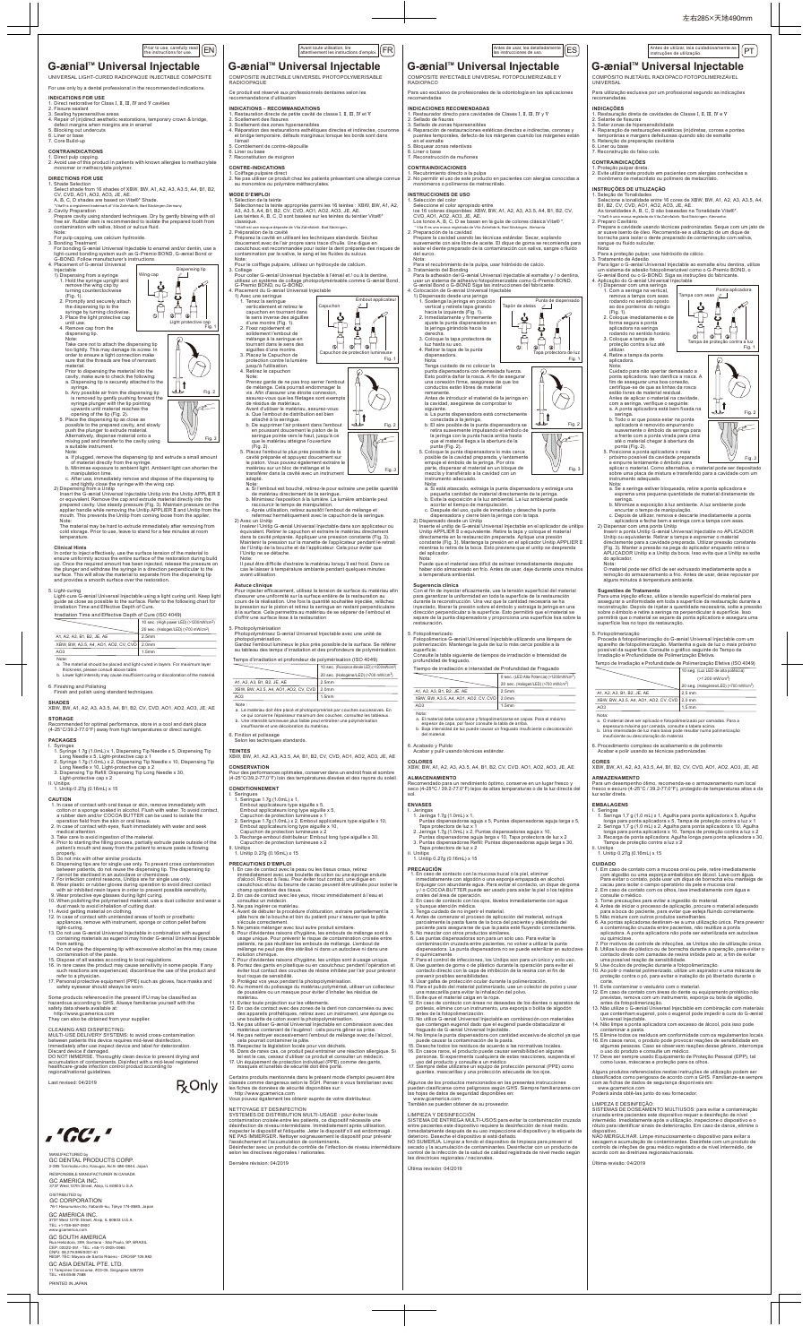UNIVERSAL LIGHT-CURED RADIOPAQUE INJECTABLE COMPOSITE

- For use only by a dental professional in the recommended indications.
- 
- 
- 
- INDICATIONS FOR USE<br>1. Direct restorative for Class I, II, III, IV and V cavities<br>2. Fissure sealant<br>3. Sealing hypersensitive areas<br>4. Repair of (in)direct aesthetic restorations, temporary crown & bridge,<br>defect margins
- 6. Liner or base 7. Core Build-up

**CONTRAINDICATIONS**<br>1. Direct pulp capping.<br>2. Avoid use of this product in patients with known allergies to methacrylate<br>- monomer or methacrylate polymer.

## **DIRECTIONS FOR USE**

opening of the tip (Fig. 2). 5. Place the dispensing tip as close as<br>possible to the prepared cavity, and slowly<br>push the plunger to extrude material.<br>Alternatively, dispense material onto a<br>mixing pad and transfer to the cavity using<br>a suitable instr

- 
- 

Note:<br>  $\alpha$ . If plugged, remove the dispensing tip and extrude a small amount<br>
of material directly from the syringe.<br>  $\alpha$ . Minimise exposure to ambient light. Ambient light can shorten the<br>
manipulation time.<br>  $\alpha$ . Aft

In order to inject effectively, use the surface tension of the material to ensure uniformity across the entire surface of the restoration during build up. Once the required amount has been injected, release the pressure on<br>the plunger and withdraw the syringe in a direction perpendicular to the<br>surface. This will allow the material to separate from the dispensing tip and provides a smooth surface over the restoration.

material. Prior to dispensing the material into the cavity, make sure to check the following: a. Dispensing tip is securely attached to the

syringe. syringe.<br>b. Any possible air from the dispensing tip is removed by gently pushing forward the syringe plunger with the tip pointing upwards until material reaches the

- I. Syringes 1.7g (1.0mL) x 1, Dispensing Tip Needle x 5, Dispensing Tip<br>1. Syringe 1.7g (1.0mL) x 1, Dispensing Tip Needle x 5, Dispensing Tip<br>2. Syringe 1.7g (1.0mL) x 2, Dispensing Tip<br>2. Syringe 1.7g (1.0mL) x 2, Dispe
- 
- 
- II. Unitips 1. Unitip 0.27g (0.16mL) x 15

- 
- a rubber dam and/or COCOA BUTTER can be used to isolate the operation field from the skin or oral tissue. 2. In case of contact with eyes, flush immediately with water and seek medical attention.
- 3. Take care to avoid ingestion of the material.
- 4. Prior to starting the filling process, partially extrude paste outside of the patient's mouth and away from the patient to ensure paste is flowing
- properly. 5. Do not mix with other similar products.
- 6. Dispensing tips are for single use only. To prevent cross contamination between patients, do not reuse the dispensing tip. The dispensing tip cannot be sterilised in an autoclave or chemiclave.
- 7. For infection control reasons, Unitips are for single use only. 8. Wear plastic or rubber gloves during operation to avoid direct contact with air inhibited resin layers in order to prevent possible sensitivity.
- 9. Wear protective eye glasses during light curing.
- 10. When polishing the polymerised material, use a dust collector and wear
- dust mask to avoid inhalation of cutting dust.<br>11. Avoid getting material on clothing.<br>12. In case of contact with unintended areas of tooth or prosthetic<br>appliances, remove with instrument, sponge or cotton pellet before
- light-curing. 13. Do not use G-ænial Universal Injectable in combination with eugenol containing materials as eugenol may hinder G-ænial Universal Injectable
- 
- 
- 
- from setting.<br>The Donot wipe the dispensing tip with excessive alcohol as this may cause<br>contamination of the paste.<br>The Dispose of all wastes according to local regulations.<br>The Dispose of all wastes according to local re
- 

 The material may be hard to extrude immediately after removing from cold storage. Prior to use, leave to stand for a few minutes at room temperature.

### **Clinical Hints**

 http://www.gcamerica.com They can also be obtained from your supplie

5. Light-curing Light-cure G-ænial Universal Injectable using a light curing unit. Keep light guide as close as possible to the surface. Refer to the following chart for Irradiation Time and Effective Depth of Cure.

6. Finishing and Polishing Finish and polish using standard techniques.

**SHADES** XBW, BW, A1, A2, A3, A3.5, A4, B1, B2, CV, CVD, AO1, AO2, AO3, JE, AE **STORAGE**

## Recommended for optimal performance, store in a cool and dark place (4-25°C/39.2-77.0°F) away from high temperatures or direct sunlight.

### **PACKAGES**

**INSTRUCCIONES DE USO** 1. Selección del color

## **CAUTION**

1. In case of contact with oral tissue or skin, remove immediately with cotton or a sponge soaked in alcohol. Flush with water. To avoid contact,

## Prior toute, carefully read [EN] [ES Avant toute utilisation, lire and toute utilisations of Antes de usar, lea detalladamente | [ES<br>The instructions for use. In the instructions de usar, least of the control of the state

 Antes de introducir el material de la jeringa en la cavidad, asegúrese de comprobar lo siguiente.<br>a. La punta dispensadora está correctamente

a. La punta dispensadora está correctamente<br>conectada a la jeringa.<br>b. El aire posible de la punta dispensadora se<br>retira suavemente impulsando el émbolo de<br>la jeringa con la punta hacia arriba hasta<br>que el material llega

Nota:<br>a. Si está atascado, extraiga la punta dispensadora y extraiga una<br>pequeña cantidad de material directamente de la jeringa.<br>b. Evite la exposición a la luz ambiental. La luz ambiental puede<br>acortar el tiempo de manip c. Después del uso, quite de inmediato y deseche la punta dispensadora y cierre bien la jeringa con la tapa. 2) Dispensado desde un Unitip

 Inserte el unitip de G-ænial Universal Injectable en el aplicador de unitips Unitip APPLIER II o equivalente. Retire la tapa y coloque el material<br>directamente en la restauración preparada. Aplique una presión<br>constante (Fig. 3). Mantenga la presión en el aplicador Unitip APPLIER II<br>mientras lo re

- 1. Jeringa 1.7g (1.0mL) x 1,<br>Puntas dispensadoras aguja x 5, Puntas dispensadoras aguja larga x 5,<br>Tapa protectora de luz x 1<br>2. Jeringa 1.7g (1.0mL) x 2, Puntas dispensadoras aguja x 10, 2. Seringue 1.7g (1.0mL) x 2, Embout applicateurs type aiguille x 10, Embout applicateurs long type aiguille x 10, Capuchon de protection lumineuse x 2
	- Puntas dispensadoras aguja larga x 10, Tapa protectora de luz x 2 3. Puntas dispensadoras Refill: Puntas dispensadoras aguja larga x 30, Tapa protectora de luz x 2

Some products referenced in the present IFU may be classified as hazardous according to GHS. Always familiarise yourself with the safety data sheets available at:

CLEANING AND DISINFECTING: MULTI-USE DELIVERY SYSTEMS: to avoid cross-contamination between patients this device requires mid-level disinfection. Immediately after use inspect device and label for deterioration. Discard device if damaged. DO NOT IMMERSE. Thoroughly clean device to prevent drying and accumulation of contaminants. Disinfect with a mid-level registered

healthcare-grade infection control product according to regional/national guidelines.

Last revised: 04/2019



Antes de utilizar, leia cuidadosamente as $\big|\big[\mathsf{PT}\big]$ 

## las instrucciones de uso.

# G-ænial<sup>™</sup> Universal Injectable

|                                      | 10 sec. (High power LED) (>1200mW/cm <sup>2</sup> ) |
|--------------------------------------|-----------------------------------------------------|
|                                      | 20 sec. (Halogen/LED) (>700 mW/cm <sup>2</sup> )    |
| A1, A2, A3, B1, B2, JE, AE           | 2.5 <sub>mm</sub>                                   |
| XBW, BW, A3.5, A4, AO1, AO2, CV, CVD | 2.0 <sub>mm</sub>                                   |
| AO3                                  | 1.5 <sub>mm</sub>                                   |

- 
- 4. Antes de comenzar el proceso de aplicación del material, extruya parcialmente la pasta fuera de la boca del paciente y alejándola del paciente para asegurarse de que la pasta esté fluyendo correctamente.<br>5. No mezclar c
- 
- contaminación cruzada entre pacientes, no volver a utilizar la punta dispensadora. La punta dispensadora no se puede esterilizar en autoclave
- 
- o químicamente.<br>Ter a el control de infecciones, los Unitips son para un único y solo uso.<br>8. Use guantes de goma o de plástico durante la operación para evitar el<br>contacto directo con la capa de inhibición de la resina co
- 
- 
- 
- prótesis, elimine con un instrumento, una esponja o bolita de algodón antes de la fotopolimerización.
- 13. No utilice G-ænial Universal Injectable en combinación con materiales que contengan eugenol dado que el eugenol puede obstaculizar el fraguado de G-ænial Universal Injectable.
- 14. No limpie la punta dispensadora con cantidad excesiva de alcohol ya que puede causar la contaminación de la pasta.
- 15. Deseche todos los residuos de acuerdo a las normativas locales. 16. En casos raros, el producto puede causar sensibilidad en algunas
- personas. Si experimenta cualquiera de estas reacciones, suspenda el uso del producto y consulte a un médico
- 17. Siempre debe utilizarse un equipo de protección personal (PPE) como guantes, mascarillas y una protección adecuada de los ojos.

### Irradiation Time and Effective Depth of Cure (ISO 4049)

- Note: a. The material should be placed and light-cured in layers. For maximum layer
- thickness, please consult above table. b. Lower light intensity may cause insufficient curing or discoloration of the material.

## COMPOSITE INYECTABLE UNIVERSAL FOTOPOLIMERIZABLE Y RADIOPACO Para uso exclusivo de profesionales de la odontología en las aplicaciones

recomendadas

 $0$  sec. (LED Alta Potencia) (>1200nm 20 sec. (Halogen/LED) (>700 mW/cm2)

INDICACIONES RECOMENDADAS<br>1. Restaurador directo para cavidades de Clases I, II, III, IV y V<br>2. Sellado de fisuras<br>3. Sellado de forans hipersensibles<br>4. Reparación de restauraciones estéticas directas e indirectas, corona

**CONTRAINDICACIONES**<br>1. Recubrimiento directo a la pulpa<br>2. No permitir el uso de este producto en pacientes con alergias conocidas a<br>- monómeros o polímeros de metracriilato.

### Ce produit est réservé aux professionnels dentaires selon les recommandations d'utilisation

- INDICATIONS RECOMMANDATIONS<br>1. Restauration directe de petite cavité de classe I, II, III, IV et V<br>2. Scellement des fassures<br>3. Scellement des fassures<br>4. Réparation des restaurations esthéliques directes et indirectes,
- 5. Comblement de contre-dépouille
- 6. Liner ou base 7. Reconstitution de moignon
- 
- - **CONTRE-INDICATIONS<br>1. Coiffage pulpaire direct<br>2. Ne pas utiliser ce produit chez les patients présentant une allergie connue<br>- au monomère ou polymère méthacrylates.**

Seleccione el color apropiado entre

Sélection de la teinte Sélectionnez la teinte appropriée parmi les 16 teintes : XBW, BW, A1, A2, A3, A3.5, A4, B1, B2, CV, CVD, AO1, AO2, AO3, JE, AE. Les teintes A, B, C, D sont basées sur les teintes du teintier Vita®\* classique.

### \*Vita® est une marque déposée de Vita Zahnfabrik, Bad Säckinger

 los 16 colores disponibles: XBW, BW, A1, A2, A3, A3.5, A4, B1, B2, CV, CVD, AO1, AO2, AO3, JE, AE. Los tonos A, B, C, D se basan en la guía de colores clásica Vita® \*. \* Vita ® es una marca registrada de Vita Zahnfabrik, Bad Säckingen, Alemania 2. Preparación de la cavidad Prepare la cavidad usando las técnicas estándar. Secar, soplando suavemente con aire libre de aceite. El dique de goma se recomienda para aislar el diente preparado de la contaminación con saliva, sangre o fluido

Nota:<br>
Para el recubrimiento de la pulpa, usar hidróxido de calcio.<br>
2 Tratamiento del Bonding<br>
Para la adhesión del G-asnial Universal Injectable al esmalte y / o dentina,<br>
Para la adhesión del G-asnial Universal injectab

Punta de dispensado<br>Tapón de aletas ∠

 $\begin{picture}(180,10) \put(0,0){\line(1,0){10}} \put(10,0){\line(1,0){10}} \put(10,0){\line(1,0){10}} \put(10,0){\line(1,0){10}} \put(10,0){\line(1,0){10}} \put(10,0){\line(1,0){10}} \put(10,0){\line(1,0){10}} \put(10,0){\line(1,0){10}} \put(10,0){\line(1,0){10}} \put(10,0){\line(1,0){10}} \put(10,0){\line(1,0){10}} \put(10,0){\line($ 

C

 $\prod_{i=1}^{n}$ 

del surco.

1) Avec une seringue<br>
1. Tenez la seringue<br>
capuchon en tournant dans<br>
le sens inverse des aiguilles<br>
d'une montre (Fig. 1).<br>
2. Fixez rapidement l'embout<br>
solidement l'embout de mélange à la seringue en tournant dans le sens des aiguilles d'une montre. 3. Placez le Capuchon de

3. Coloque la tapa protectora de luz hasta su uso. 4. Retirar la tapa de la punta dispensadora. Nota:

- 
- Note:<br>a. Si l'embout est bouché, retirez-le pour extraire une petite quantité<br>de matériau directement de la seringue.<br>b. Minimisez l'exposition à la lumière. La lumière ambiante peut<br>raccourcir le temps de manipulation.<br>c.
- 
- refermez hermétiquement avec le capuchon de la seringue. 2) Avec un Unitip Insérer l'Unitip G-ænial Universal Injectable dans son applicateur ou

Tenga cuidado de no colocar la punta dispensadora con demasiada fuerza. Esto podría dañar la rosca. A fin de asegurar una conexión firme, asegúrese de que los conductos están libres de material

équivalent. Retirer le capuchon et extraire le matériau directement<br>dans la cavité préparée. Appliquer une pression constante (Fig. 3).<br>Maintenir la pression sur la manette de l'applicateur pendant le retrait<br>de l'Unitip d l'Unitip ne se détache. Note:

remanente.

- 5. Photopolymérisation
- Photopolymérisez G-ænial Universal Injectable avec une unité de<br>photopolymérisation.<br>Gardez l'embout lumineux le plus près possible de la surface. Se référer<br>au tableau des temps d'irradiation et des profondeurs de polymér

- AO3 1.5mm Note :<br>a. Le matériau doit être placé et photopolymérisé par couches successives. En<br>ce qui concerne l'épaisseur maximum des couches, consultez les tableaux.<br>b. Une intensité lumineuse plus faible peut entraîner une polymé
- 6. Finition et polissage Selon les techniques standards.
- 

del aplicador. Nota:

 Puede que el material sea difícil de extraer inmediatamente después haber sido almacenado en frío. Antes de usar, deje durante unos minutos

Sugerencia clínica<br>con el fino de invectar eficazmente, use la tensión superficial del material<br>con el fin de invectar eficazmente, use la tensión superficie de la restauración<br>durante la reconstrucción. Una vez que la can

a temperatura ambiental.

Certains produits mentionnés dans le présent mode d'emploi peuvent être classés comme dangereux selon le SGH. Penser à vous familiariser avec les fiches de données de sécurité disponibles sur: **R** Only

5. Fotopolimerizado

 Fotopolimerice G-ænial Universal Injectable utilizando una lámpara de polimerización. Mantenga la guía de luz lo más cerca posible a la superficie. Consulte la tabla siguiente de tiempos de irradiación e Intensidad de profundidad de fraguado.

6. Acabado y Pulido Acabar y pulir usando técnicas estándar.

A1, A2, A3, B1, B2, JE, AE 2.5mm XBW, BW, A3.5, A4, AO1, AO2, CV, CVD 2.0mm AO3 1.5mm

**COLORES** XBW, BW, A1, A2, A3, A3.5, A4, B1, B2, CV, CVD, AO1, AO2, AO3, JE, AE

Nota:<br>a. El material debe colocarse y fotopolimerizarse en capas. Para el máximo<br>espesor de capa, por favor consulte la tabla de arriba.<br>b. Baja intensidad de luz puede causar un fraguado insuficiente o decoloración<br>del ma

10 sec. (Puissance élevée LED) (>120 Temps d'irradiation et profondeur de polymérisation (ISO 4049)

**ALMACENAMIENTO**

Recomendado para un rendimiento óptimo, conserve en un lugar fresco y seco (4-25ºC / 39.2-77.0°F) lejos de altas temperaturas o de la luz directa del sol.

**ENVASES** I. Jeringas

- II. Unitips
- 1. Unitip 0.27g (0.16mL) x 15

### **PRECAUCIÓN**

- 1. En caso de contacto con la mucosa bucal o la piel, eliminar inmediatamente con algodón o una esponja empapada en alcohol. Enjuagar con abundante agua. Para evitar el contacto, un dique de goma y / o COCOA BUTTER puede ser usado para aislar la piel o los tejidos orales del área de operación.
- 2. En caso de contacto con los ojos, lávelos inmediatamente con agua
- y busque atención médica. 3. Tenga cuidado de no ingerir el material.

 Inserir a ponta Unitip G-ænial Universal Injectable no APLICADOR Unitip ou equivalente. Retirar a tampa e espremer o material<br>directamente para a cavidade preparada. Utilizar pressão constante<br>(Fig. 3). Manter a pressão na pega do aplicador enquanto retira o<br>APLICADOR Unitip e a Unitip

- 1. Seringa 1,7 g (1,0 mL) x 1, Agulha para ponta aplicadora x 5, Agulha<br>Ionga para ponta aplicadora x 5, Tampa de proteção contra a luz x 1<br>2. Seringa 1,7 g (1,0 mL) x 2, Agulha para ponta aplicadora x 10, Agulha<br>Ionga par
- 3. Recarga de ponta aplicadora: Agulha longa para ponta aplicadora x 30, Tampa de proteção contra a luz x 2
- II. Unitips
- 1. Unitip 0.27g (0.16mL) x 15

Algunos de los productos mencionados en las presentes instrucciones pueden clasificarse como peligrosos según GHS. Siempre familiarizarse con las hojas de datos de seguridad disponibles en:

www.gcamerica.com También se pueden obtener de su proveedor.

LIMPIEZA Y DESINFECCIÓN<br>SISTEMA DE ENTREGA MULTI-USOS:para evitar la contaminación cruzada<br>entre pacientes este dispositivo requiere la desinfección de nivel medio.<br>Inmediatamente después de su uso inspeccione el dispositi

Última revisión: 04/2019

LIMPEZA E DESINFEÇÃO: SISTEMAS DE DOSEAMENTO MULTIUSOS: para evitar a contaminação cruzada entre pacientes este dispositivo requer a desinfeção de nível<br>intermédio. Imediatamente após a utilização, inspecione o dispositivo e o<br>rótulo para identificar sinais de deterioração. Em caso de danos, elimine o

dispositivo.<br>NÃO MERGULHAR. Limpe minuciosamente o dispositivo para evitar a<br>secagem e acumulação de contaminantes. Desinfete com um produto de<br>controlo de infeções de grau médico registado e de nível intermédio, de<br>acordo

Tiempo de irradiación e intensidad de Profundidad de Fraguado

RADIOOPAQUE

RESPONSIBLE MANUFACTURER IN CANADA GC AMERICA INC.<br>3737 West 127th Street, Als et, Alsip, IL 60803 U.

DISTRIBUTED by GC CORPORATION \*<br>hi-ku, Tokyo 174-8585, Japan

www.gcamerica.com GC SOUTH AMERICA<br>Bua Heliodora 399 Santana - São Paulo SP BBASIL Rua Heliodora, 399, Santana - São Paulo, SP, BRASIL<br>CEP: 02022-051 - TEL: +55-11-2925-0965<br>CNPJ: 08.279.999/0001-61<br>RESP. TÉC: Mayara de Santis Ribeiro - CRO/SP 105.982

### **MODE D'EMPLOI**

- 1. Shade Selection Select shade from 16 shades of XBW, BW, A1, A2, A3, A3.5, A4, B1, B2, CV, CVD, AO1, AO2, AO3, JE, AE.
- A, B, C, D shades are based on Vita®\* Shade. a® is a registered trademark of Vita Zahnfabrik, Bad Säc
- 2. Cavity Preparation
- Prepare cavity using standard techniques. Dry by gently blowing with oil free air. Rubber dam is recommended to isolate the prepared tooth from contamination with saliva, blood or sulcus fluid. Note:
- For pulp capping, use calcium hydroxide.
- 3. Bonding Treatment For bonding G-ænial Universal Injectable to enamel and/or dentin, use a light-cured bonding system such as G-Premio BOND, G-ænial Bond or
- G-BOND. Follow manufacturer's instructions.<br>
4. Placement of G-ænial Universal<br>
1) Dispensing from a syringe<br>
1. Hold the syringe upright and<br>
remove the wing cap by<br>
turning counterclockwise Dispensing tip Wing cap ╜ (Fig. 1). 2. Promptly and securely attach the dispensing tip to the  $\frac{1}{2}$  is compuy and securely attach<br>the dispensing tip to the<br>syringe by turning clockwise.<br>3. Place the light protective cap<br>until use Light protective cap Fig. 1
- 

3. Place the light protective cap<br>
dispensing tip.<br>
4. Remove cap from the<br>
dispensing tip.<br>
Note:<br>
Note:<br>
Note:<br>
Note:<br>
Note: the start of a start cap damage its screw. In<br>
ordightly. This may damage its screw. In<br>
sure t

2. Préparation de la cavité Préparez la cavité en utilisant les techniques standards. Séchez doucement avec de l'air propre sans trace d'huile. Une digue en caoutchouc est recommandée pour isoler la dent préparée des risques de contamination par la salive, le sang et les fluides du sulcus.

Note:<br>Pour le coiffage pulpaire, utilisez un hydroxyde de calcium.<br>3. Collage<br>collare coller G-ænial Universal Injectable à l'émail et / ou à la dentine,<br>pour coller de vallage photopolymérisable comme G-ænial Bond,<br>6-Prem

protection contre la lumière jusqu'à l'utilisation. 4. Retirez le capuchon Note: Prenez garde de ne pas trop serrer l'embout



a. Que l'embout de distribution est bien<br>
attaché à la seringue.<br>
b. De supprimer l'air présent dans l'embout<br>
en poussant doucement le piston de la<br>
seringue pointe vers le haut, jusqu'à ce<br>
que le matériau atteigne l'ouv

 Il peut être difficile d'extraire le matériau lorsqu'il est froid. Dans ce cas le laisser à température ambiante pendant quelques minutes avant utilisation.

Astuce clinique<br>
actuce clinique discussions de surface du matériau afin<br>
d'assurer une uniformité sur la surface entière de la restauration au<br>
clous de la réalisation. Une fois la quantité souhaitée injectée, relâchez<br>
l

## COMPOSITE INJECTABLE UNIVERSEL PHOTOPOLYMERISABLE **G-ænialTM Universal Injectable**

# **TEINTES** XBW, BW, A1, A2, A3, A3.5, A4, B1, B2, CV, CVD, AO1, AO2, AO3, JE, AE

**CONSERVATION** Pour des performances optimales, conserver dans un endroit frais et sombre (4-25°C/39,2-77,0°F) loin des températures élevées et des rayons du soleil.

## **CONDITIONNEMENT**

- 
- I. Seringues 1.7g (1.0mL) x 1,<br>1. Seringue 1.7g (1.0mL) x 1,<br>Embout applicateurs type aiguille x 5,<br>Embout applicateurs long type aiguille x 5,<br>Capuchon de protection lumineuse x 1

- 
- 
- 3. Recharge embout distributeur: Embout long type aiguille x 30, Capuchon de protection lumineuse x 2 II. Unitips

1. Unitip 0.27g (0.16mL) x 15

### **PRECAUTIONS D'EMPLOI**

- 1. En cas de contact avec la peau ou les tissus oraux, retirez immédiatement avec une boulette de coton ou une éponge enduite d'alcool. Rincez à l'eau. Pour éviter tout contact, une digue en caoutchouc et/ou du beurre de cacao peuvent être utilisés pour isoler le champ opératoire des tissus.
- 2. En cas de contact avec les yeux, rincez immédiatement à l'eau et consultez un médecin.
- Ne pas ingérer ce matériau.<br>Avant de débuter la procédi
- 4. Avant de débuter la procédure d'obturation, extraire partiellement la pâte hors de la bouche et loin du patient pour s'assurer que la pâte s'écoule correctement. 5. Ne jamais mélanger avec tout autre produit similaire.
- 
- 6. Pour d'évidentes raisons d'hygiène, les embouts de mélange sont à<br>usage unique. Pour prévenir le risque de contamination croisée entre<br>patients, ne pas réutiliser les embouts de mélange. L'embout de<br>mélange ne peut pas
- 
- solution chimique.<br>7. Pour d'évidentes raisons d'hygiène, les unitips sont à usage unique.<br>8. Portez des gants en plastique ou en caoutchouc pendant l'opération et<br>éviter tout contact des couches de résine inhibée par l'ai
- 
- 9. Protégez vos yeux pendant la photopolymérisation. 10. Au moment du polissage du matériau polymérisé, utiliser un collecteur de poussière ou un masque pour éviter d'inhaler les résidus de matériau.
- 11. Evitez toute projection sur les vêtements.
- 12. En cas de contact avec des zones de la dent non concernées ou avec des appareils prothétiques, retirez avec un instrument, une éponge ou une boulette de coton avant la photopolymérisation.
- 13. Ne pas utiliser G-ænial Universal Injectable en combinaison avec des
- matériaux contenant de l'eugénol : cela pourra gêner sa prise. 14. Ne pas nettoyer excessivement l'embout de mélange avec de l'alcool, cela pourrait contaminer la pâte.
- 15. Respectez la législation locale pour vos déchets.
- 16. Dans de rares cas, ce produit peut entrainer une réaction allergique. Si tel est le cas, cessez d'utiliser ce produit et consulter un médecin.
- 17. Un équipement de protection individuel (PPE) comme des gants, masques et lunettes de sécurité doit être porté.

http://www.gcamerica.com Vous pouvez également les obtenir auprès de votre distributeur.

NETTOYAGE ET DESINFECTION<br>SYSTEMES DE DISTRIBUTION MULTI-USAGE : pour éviter toute<br>contamination croisée entre les patients, ce dispositif nécessite une<br>désinfection de niveau intermédiaire. Immédiatement après utilisation

Dernière révision: 04/2019

### 20 sec. (Halogène/LED) (>700 mW/cm2) A1, A2, A3, B1, B2, JF, AF 2.5mm XBW, BW, A3.5, A4, AO1, AO2, CV, CVD 2.0mm

COMPÓSITO INJETÁVEL RADIOPACO FOTOPOLIMERIZÁVEL

**G-ænial™ Universal Injectable** 

UNIVERSAL

Para utilização exclusiva por um profissional segundo as indicações

INDICAÇOES<br>2. Selante de cavidades de Classe I, II, III, IV e V<br>2. Selante de fissuras<br>3. Selante de fissuras<br>4. Reparação de restaurações estéticas (in)diretas, coroas e pontes<br>1. Reparação de restaurações estéticas (in)d

recomendadas.

**CONTRAINDICAÇÕES**

1. Proteção pulpar direta. 2. Evite utilizar este produto em pacientes com alergias conhecidas a monômero de metacrilato ou polímero de metacrilato.

**INSTRUÇÕES DE UTILIZAÇÃO**

1. Seleção de Tonalidades Selecione a tonalidade entre 16 cores de XBW, BW, A1, A2, A3, A3.5, A4,

B1, B2, CV, CVD, AO1, AO2, AO3, JE, AE.

## Prior to use, carefully read  $\boxed{\text{EN}}$

## G-ænial<sup>™</sup> Universal Injectable

 As tonalidades A, B, C, D são baseadas na Tonalidade Vita®\*. \*Vita® é uma marca registada da Vita Zahnfabrik, Bad Säckingen, Alemanha. 2. Preparo Cavitário

 Prepare a cavidade usando técnicas padronizadas. Seque com um jato de ar suave isento de óleo. Recomenda-se a utilização de um dique de borracha para isolar o dente preparado de contaminação com saliva,

Nota:<br>Para a proteção pulpar, use hidróxido de cálcio.<br>2. Tratamento de Adesão.<br>Para ligar o G-ænial Universal Injectable ao esmalte e/ou dentina, utilize<br>um sistema de adesão fotopolimerizável como o G-Premio BOND, o<br>G-æn

 $\begin{picture}(180,10) \put(0,0){\line(1,0){100}} \put(10,0){\line(1,0){100}} \put(10,0){\line(1,0){100}} \put(10,0){\line(1,0){100}} \put(10,0){\line(1,0){100}} \put(10,0){\line(1,0){100}} \put(10,0){\line(1,0){100}} \put(10,0){\line(1,0){100}} \put(10,0){\line(1,0){100}} \put(10,0){\line(1,0){100}} \put(10,0){\line(1,0){100}}$ 

Tampa de proteção co

C

∏ਾ

sangue ou fluido sulcular.

1) Dispensar com uma seringa<br>
1. Com a seringa na vertical,<br>
remova a tampa com asas<br>
rodando no sentido oposto<br>
ao dos ponteiros do relógio<br>
(Fig. 1).<br>
2. Coloque imediatamente e de<br>
forma segura a ponta<br>
aplicadora na se

4. Retire a tampa da ponta aplicadora. Nota:

 Cuidado para não apertar demasiado a ponta aplicadora. Isso danifica a rosca. A fim de assegurar uma boa conexão, certifique-se de que as linhas da rosca estão livres de material residual. Antes de aplicar o material na cavidade, com a seringa, verifique o seguinte: a. A ponta aplicadora está bem fixada na

Nota: a. Se a seringa estiver bloqueada, retire a ponta aplicadora e esprema uma pequena quantidade de material diretamente da seringa. b. Minimize a exposição à luz ambiente. A luz ambiente pode

encurtar o tempo de manipulação. c. Depois de utilizar, remova e descarte imediatamente a ponta aplicadora e feche bem a seringa com a tampa com asas.

2) Dispensar com uma ponta Unitip

do aplicador. Nota:

O material pode ser difícil de ser extrusado imediatamente após a remoção do armazenamento a frio. Antes de usar, deixe repousar por

Sugestões de Tratamento<br>Para uma injeção eficaz, utilize a tensão superficial do material para<br>assegurar a uniformidade em toda a superfície da restauração durante a<br>reconstrução. Depois de injetar a quantidade necessária,

Proceda à fotopolimerização do G-ænial Universal Injectable com um<br>aparelho de fotopolimerização. Mantenha a guia de luz o mais próximo<br>possível da superfície. Consulte o gráfico seguinte do Tempo de<br>Irradiação e Profundid

alguns minutos à temperatura ambiente.

5. Fotopolimerização

6. Procedimento complexo de acabamento e de polimento Acabar e polir usando as técnicas padronizadas.

A1, A2, A3, B1, B2, JE, AE 2,5 mm XBW, BW, A3.5, A4, AO1, AO2, CV, CVD 2.0 mm AO3 1,5 mm

**CORES** XBW, BW, A1, A2, A3, A3.5, A4, B1, B2, CV, CVD, AO1, AO2, AO3, JE, AE

**ARMAZENAMENTO**

Para um desempenho ótimo, recomenda-se o armazenamento num local fresco e escuro (4-25°C / 39.2-77.0°F), protegido de temperaturas altas e da luz solar direta.

**EMBALAGENS** I. Seringas

### **CUIDADO**

- 1. Em caso de contato com a mucosa oral ou pele, retire imediatamente com algodão ou uma esponja embebidos em álcool. Lave com água. Para evitar o contato, pode usar um dique de borracha e/ou manteiga de
- cacau para isolar o campo operatório da pele e mucosa oral. 2. Em caso de contato com os olhos, lave imediatamente com água e consulte o médico.
- 3. Tome precauções para evitar a ingestão do material.

 11. Evite contaminar o vestuário com o material. 12. Em caso de contato com áreas do dente ou equipamento protético não previstas, remova com um instrumento, esponja ou bola de algodão,

antes da fotopolimerização.

 13. Não utilize o G-ænial Universal Injectable em combinação com materiais que contenham eugenol, pois o eugenol pode impedir a cura do G-ænial

Alguns produtos referenciados nestas instruções de utilização podem ser<br>classificados como perigosos de acordo com a GHS. Familiarize-se sempre<br>com as fichas de dados de segurança disponíveis em:

Universal Injectable.

 14. Não limpe a ponta aplicadora com excesso de álcool, pois isso pode contaminar a pasta. 15. Elimine todos os resíduos em conformidade com os regulamentos locais. 16. Em casos raros, o produto pode provocar reações de sensibilidade em algumas pessoas. Caso se observem reações desse gênero, interrompa o uso do produto e consulte um médico. 17. Deve ser sempre usado Equipamento de Proteção Pessoal (EPP), tal

como luvas, máscaras e proteção para os olhos.

www.gcamerica.com Poderá ainda obtê-las junto do seu fornecedor.

Última revisão: 04/2019

10 seg. (Luz LED de alta potência) (>1 200 mW/cm2) 20 seg. (Halogéneo/LED) (>700 mW/cm2)

Tempo de Irradiação e Profundidade de Polimerização Efetiva (ISO 4049)

Nota: a. O material deve ser aplicado e fotopolimerizado por camadas. Para a espessura máxima por camada, consulte a tabela acima. b. Uma intensidade de luz mais baixa pode resultar numa polimerização

insuficiente ou descoloração do material.

- 
- 
- 4. Antes de iniciar o processo de aplicação, procure o material adequado<br>para a boca do paciente, para evitar que esteja fluindo corretamente.<br>5. Não misture com outros produtos semelhantes.<br>6. As pontas aplicadoras destin
- ou quimiclave.<br>
7. Por motivos de controle de infecções, as Unitips são de utilização única.<br>
8. Utilize luvas de plástico ou de borracha durante a operação, para evitar o contacto direto com camadas de resina inibida pelo

2-285 Toriimatsu-cho, Kasugai, Aichi 486-0844, Japan MANUFACTURED by GC DENTAL PRODUCTS CORP.

 GC AMERICA INC. 3737 West 127th Street, Alsip, IL 60803 U.S.A. TEL: +1-708-597-0900

 GC ASIA DENTAL PTE. LTD. 11 Tampines Concourse, #03-05, Singapore 528729 TEL: +65 6546 7588

PRINTED IN JAPAN

Fig. 2

 $\bigcirc$ 

VIV

 $\sqrt{2}$ 

 $\varphi$ 

 $\prod_{i=1}^{n}$ 

Fig. 3

Capuchon

Embout applicateur

Capuchon de protection lumineuse

Q

Fig. 2

 $\sqrt{2}$ 

 $\mathcal{D}$ 

Fig. 1

Fig. 3

Fig. 2

 $\overline{a}$ 

 $\curvearrowright$ 

Fig. 1

Fig. 3

Ponta aplicadora

بهجمه

Fig. 2

 $\curvearrowright$ 

Fig. 1

seringa.<br>
a prior do a que possa estar na ponta<br>
a plicadora é removido empurando<br>
suavemente o émbolo da seringa para<br>
a frente com a ponta virada para cima<br>
a frente com a ponta virada para cima<br>
e de o material chegar à

Fig. 3